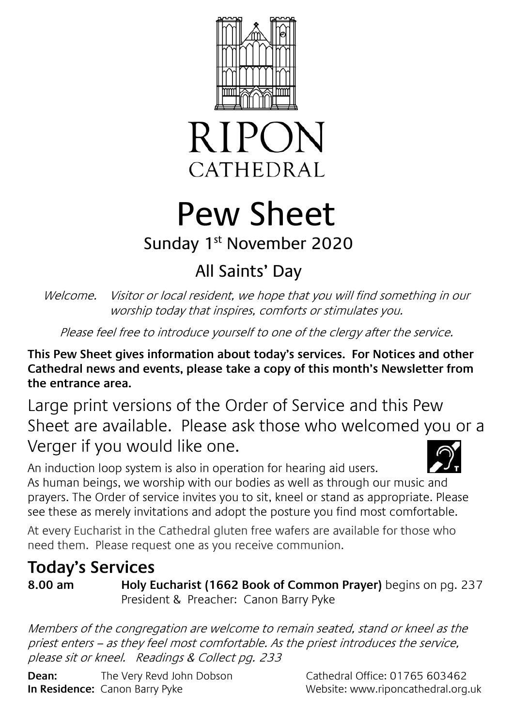



# Pew Sheet

### Sunday 1<sup>st</sup> November 2020

## All Saints' Day

Welcome. Visitor or local resident, we hope that you will find something in our worship today that inspires, comforts or stimulates you.

Please feel free to introduce yourself to one of the clergy after the service.

**This Pew Sheet gives information about today's services. For Notices and other Cathedral news and events, please take a copy of this month's Newsletter from the entrance area.** 

Large print versions of the Order of Service and this Pew Sheet are available. Please ask those who welcomed you or a Verger if you would like one.

An induction loop system is also in operation for hearing aid users. As human beings, we worship with our bodies as well as through our music and prayers. The Order of service invites you to sit, kneel or stand as appropriate. Please see these as merely invitations and adopt the posture you find most comfortable.

At every Eucharist in the Cathedral gluten free wafers are available for those who need them. Please request one as you receive communion.

#### **Today's Services**

**8.00 am Holy Eucharist (1662 Book of Common Prayer)** begins on pg. 237 President & Preacher: Canon Barry Pyke

Members of the congregation are welcome to remain seated, stand or kneel as the priest enters – as they feel most comfortable. As the priest introduces the service, please sit or kneel. Readings & Collect pg. 233

**Dean:** The Very Revd John Dobson Cathedral Office: 01765 603462 **In Residence:** Canon Barry Pyke Website: www.riponcathedral.org.uk